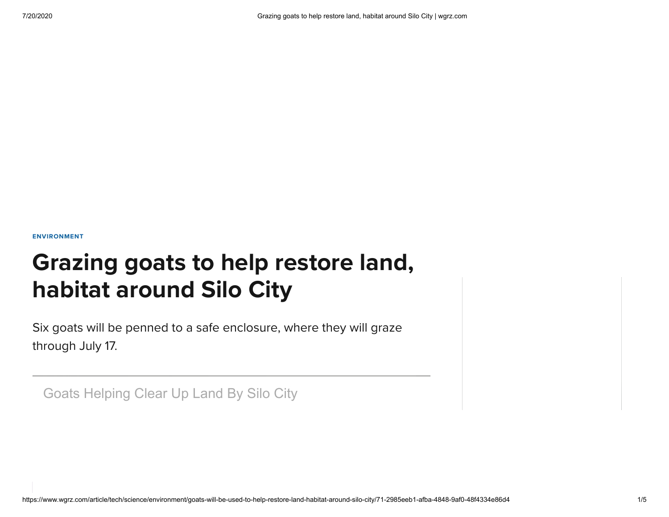[ENVIRONMENT](https://www.wgrz.com/section/environment)

# Grazing goats to help restore land, habitat around Silo City

Six goats will be penned to a safe enclosure, where they will graze through July 17.

Goats Helping Clear Up Land By Silo City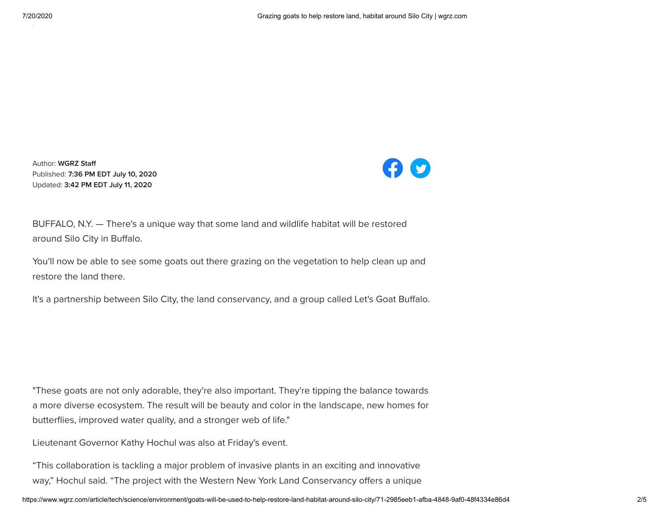Author: WGRZ Staff Published: 7:36 PM EDT July 10, 2020 Updated: 3:42 PM EDT July 11, 2020



BUFFALO, N.Y. — There's a unique way that some land and wildlife habitat will be restored around Silo City in Buffalo.

You'll now be able to see some goats out there grazing on the vegetation to help clean up and restore the land there.

It's a partnership between Silo City, the land conservancy, and a group called Let's Goat Buffalo.

"These goats are not only adorable, they're also important. They're tipping the balance towards a more diverse ecosystem. The result will be beauty and color in the landscape, new homes for butterflies, improved water quality, and a stronger web of life."

Lieutenant Governor Kathy Hochul was also at Friday's event.

"This collaboration is tackling a major problem of invasive plants in an exciting and innovative way," Hochul said. "The project with the Western New York Land Conservancy offers a unique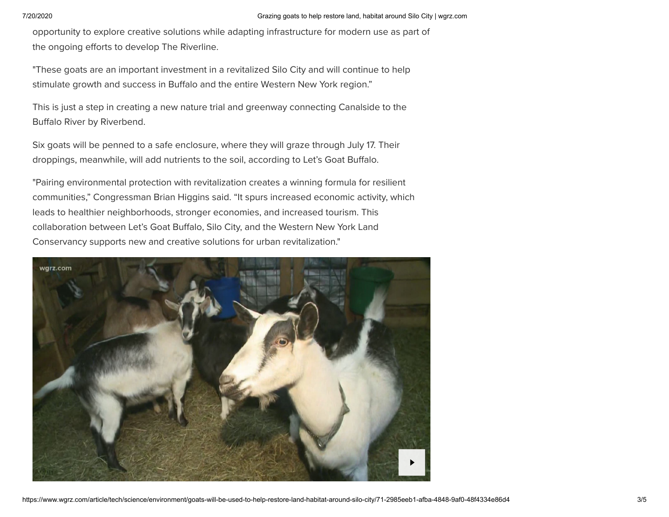opportunity to explore creative solutions while adapting infrastructure for modern use as part of the ongoing efforts to develop The Riverline.

"These goats are an important investment in a revitalized Silo City and will continue to help stimulate growth and success in Buffalo and the entire Western New York region."

This is just a step in creating a new nature trial and greenway connecting Canalside to the Buffalo River by Riverbend.

Six goats will be penned to a safe enclosure, where they will graze through July 17. Their droppings, meanwhile, will add nutrients to the soil, according to Let's Goat Buffalo.

"Pairing environmental protection with revitalization creates a winning formula for resilient communities," Congressman Brian Higgins said. "It spurs increased economic activity, which leads to healthier neighborhoods, stronger economies, and increased tourism. This collaboration between Let's Goat Buffalo, Silo City, and the Western New York Land Conservancy supports new and creative solutions for urban revitalization."

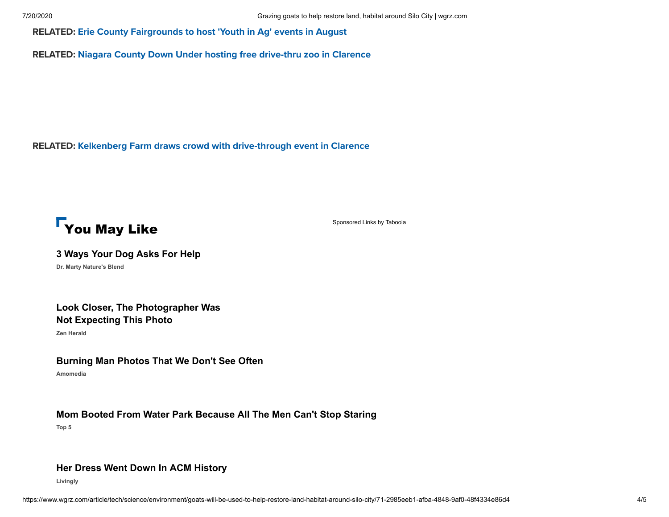RELATED: Erie County [Fairgrounds](https://www.wgrz.com/article/news/health/coronavirus/erie-county-fairgrounds-to-host-youth-in-ag-events-in-august/71-43a80de4-5cfe-4526-8dfb-6d300c4c0164) to host 'Youth in Ag' events in August

RELATED: Niagara County Down Under hosting free [drive-thru](https://www.wgrz.com/article/news/local/niagara-county-down-under-hosting-free-drive-thru-zoo-in-clarence/71-feccb37d-9d7b-4bd7-aedc-6057aed86d09) zoo in Clarence

RELATED: Kelkenberg Farm draws crowd with [drive-through](https://www.wgrz.com/article/entertainment/kelkenberg-farm-draws-crowd-with-drive-through-event-in-clarence/71-ae479921-def9-440e-927c-09f2abc318c4) event in Clarence



[Sponsored Links](https://popup.taboola.com/en/?template=colorbox&utm_source=tegna-wgrz&utm_medium=referral&utm_content=thumbnails-h2:Below%20Article%20Thumbnails%202nd:) [by Taboola](https://popup.taboola.com/en/?template=colorbox&utm_source=tegna-wgrz&utm_medium=referral&utm_content=thumbnails-h2:Below%20Article%20Thumbnails%202nd:)

**[3 Ways Your Dog Asks For Help](https://drmartypets.com/cmd.php?ad=874199&utm_source=taboola&utm_medium=referral#tblciGiAfm0Px3reQ-yRvfxzpk17Kz2I4p0Tr5ZEhVcjIPbrCiSCTu0Q)**

**Dr. Marty Nature's Blend**

# **[Look Closer, The Photographer Was](https://zenherald.com/humor/wedding-photo-fails/?utm_source=Taboola&utm_medium=CPC&utm_content=tegna-wgrz_1037847&utm_campaign=Dup4_124350_Zen-Herald_0624-Dup4_Wedding_US_DESKTOP_JJ&utm_term=5347639&l=a) Not Expecting This Photo**

**Zen Herald**

#### **[Burning Man Photos That We Don't See Often](https://retrotreat.com/192057-amazing-burning-man-pictures.html?amo_session=192057_3012&m=0&utm_source=taboola&utm_medium=1037847#tblciGiAfm0Px3reQ-yRvfxzpk17Kz2I4p0Tr5ZEhVcjIPbrCiSDK20s)**

**Amomedia**

### **[Mom Booted From Water Park Because All The Men Can't Stop Staring](http://track.top5.com/c/aeea18d5b810f0ca?p=mom-kicked-out-of-water-park&utm_source=taboola&utm_medium=tegna-wgrz&utm_campaign=rap-ddd-tab-waterpark_t1_BL_SB_MK_CLO_0606&utm_content=4871358&layout=top1&top1)**

**Top 5**

## **[Her Dress Went Down In ACM History](https://www.livingly.com/The+Most+Daring+Gowns+Ever+Worn+To+The+ACM+Awards?utm_source=tabo&utm_medium=cpc&utm_campaign=Tabo-LV-Stories-NBB-US-Desktop-SAFE-Daring-Dresses-ACM&utm_content=tegna-wgrz)**

**Livingly**